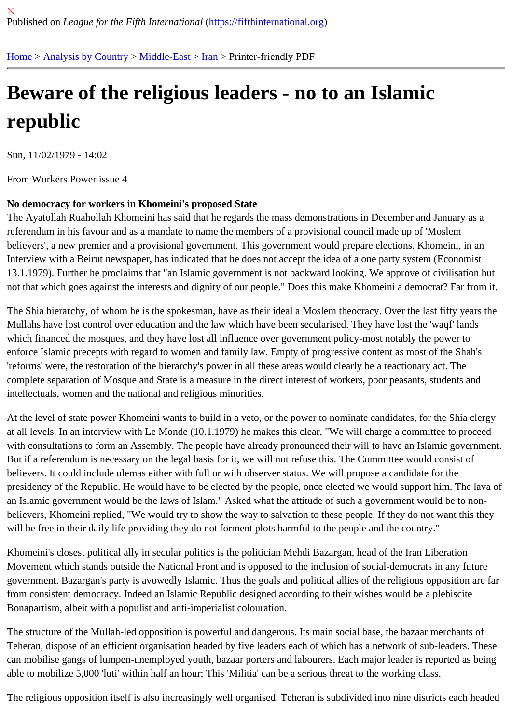## [Be](https://fifthinternational.org/)[ware of the](https://fifthinternational.org/category/1) [religio](https://fifthinternational.org/category/1/178)[us](https://fifthinternational.org/category/1/178/182) leaders - no to an Islamic republic

Sun, 11/02/1979 - 14:02

From Workers Power issue 4

## No democracy for workers in Khomeini's proposed State

The Ayatollah Ruahollah Khomeini has said that he regards the mass demonstrations in December and January a referendum in his favour and as a mandate to name the members of a provisional council made up of 'Moslem believers', a new premier and a provisional government. This government would prepare elections. Khomeini, in a Interview with a Beirut newspaper, has indicated that he does not accept the idea of a one party system (Economi 13.1.1979). Further he proclaims that "an Islamic government is not backward looking. We approve of civilisation b not that which goes against the interests and dignity of our people." Does this make Khomeini a democrat? Far fro

The Shia hierarchy, of whom he is the spokesman, have as their ideal a Moslem theocracy. Over the last fifty year Mullahs have lost control over education and the law which have been secularised. They have lost the 'waqf' lands which financed the mosques, and they have lost all influence over government policy-most notably the power to enforce Islamic precepts with regard to women and family law. Empty of progressive content as most of the Shah's 'reforms' were, the restoration of the hierarchy's power in all these areas would clearly be a reactionary act. The complete separation of Mosque and State is a measure in the direct interest of workers, poor peasants, students a intellectuals, women and the national and religious minorities.

At the level of state power Khomeini wants to build in a veto, or the power to nominate candidates, for the Shia clergy at all levels. In an interview with Le Monde (10.1.1979) he makes this clear, "We will charge a committee to procee with consultations to form an Assembly. The people have already pronounced their will to have an Islamic governr But if a referendum is necessary on the legal basis for it, we will not refuse this. The Committee would consist of believers. It could include ulemas either with full or with observer status. We will propose a candidate for the presidency of the Republic. He would have to be elected by the people, once elected we would support him. The la an Islamic government would be the laws of Islam." Asked what the attitude of such a government would be to nonbelievers, Khomeini replied, "We would try to show the way to salvation to these people. If they do not want this th will be free in their daily life providing they do not forment plots harmful to the people and the country."

Khomeini's closest political ally in secular politics is the politician Mehdi Bazargan, head of the Iran Liberation Movement which stands outside the National Front and is opposed to the inclusion of social-democrats in any futu government. Bazargan's party is avowedly Islamic. Thus the goals and political allies of the religious opposition are from consistent democracy. Indeed an Islamic Republic designed according to their wishes would be a plebiscite Bonapartism, albeit with a populist and anti-imperialist colouration.

The structure of the Mullah-led opposition is powerful and dangerous. Its main social base, the bazaar merchants Teheran, dispose of an efficient organisation headed by five leaders each of which has a network of sub-leaders. T can mobilise gangs of lumpen-unemployed youth, bazaar porters and labourers. Each major leader is reported as able to mobilize 5,000 'luti' within half an hour; This 'Militia' can be a serious threat to the working class.

The religious opposition itself is also increasingly well organised. Teheran is subdivided into nine districts each hea